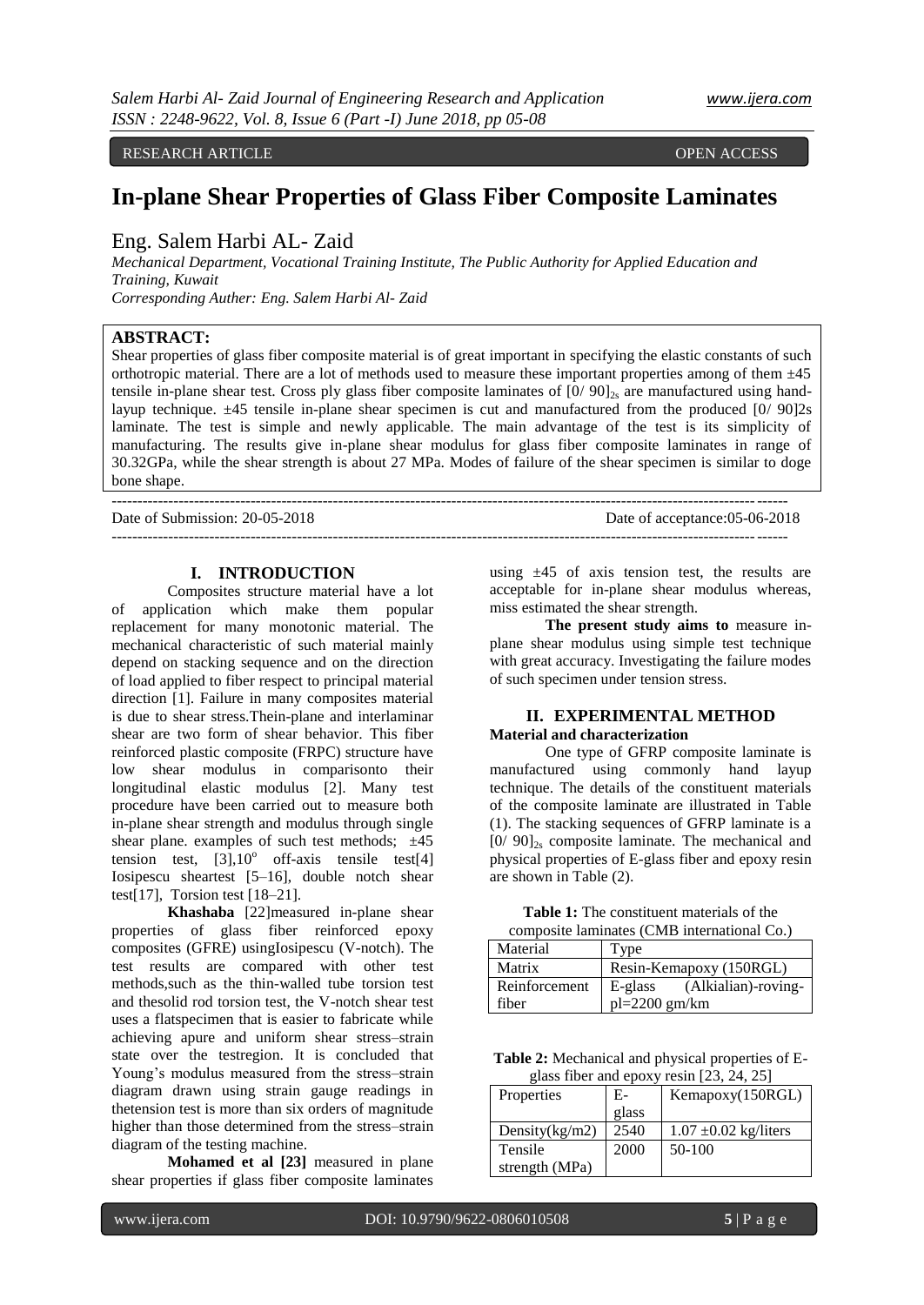-----------------------------------------------------------------------------------------------------------------------------------

RESEARCH ARTICLE **CONSERVERS** OPEN ACCESS OPEN ACCESS

# **In-plane Shear Properties of Glass Fiber Composite Laminates**

## Eng. Salem Harbi AL- Zaid

*Mechanical Department, Vocational Training Institute, The Public Authority for Applied Education and Training, Kuwait*

*Corresponding Auther: Eng. Salem Harbi Al- Zaid*

### **ABSTRACT:**

Shear properties of glass fiber composite material is of great important in specifying the elastic constants of such orthotropic material. There are a lot of methods used to measure these important properties among of them  $\pm$ 45 tensile in-plane shear test. Cross ply glass fiber composite laminates of  $[0/90]_{2s}$  are manufactured using handlayup technique.  $\pm 45$  tensile in-plane shear specimen is cut and manufactured from the produced  $[0/90]2s$ laminate. The test is simple and newly applicable. The main advantage of the test is its simplicity of manufacturing. The results give in-plane shear modulus for glass fiber composite laminates in range of 30.32GPa, while the shear strength is about 27 MPa. Modes of failure of the shear specimen is similar to doge bone shape.

-----------------------------------------------------------------------------------------------------------------------------------

Date of Submission: 20-05-2018 Date of acceptance:05-06-2018

#### **I. INTRODUCTION**

Composites structure material have a lot of application which make them popular replacement for many monotonic material. The mechanical characteristic of such material mainly depend on stacking sequence and on the direction of load applied to fiber respect to principal material direction [1]. Failure in many composites material is due to shear stress.Thein-plane and interlaminar shear are two form of shear behavior. This fiber reinforced plastic composite (FRPC) structure have low shear modulus in comparisonto their longitudinal elastic modulus [2]. Many test procedure have been carried out to measure both in-plane shear strength and modulus through single shear plane. examples of such test methods;  $\pm 45$ tension test,  $\left[3\right], 10^{\circ}$  off-axis tensile test $\left[4\right]$ Iosipescu sheartest [5–16], double notch shear test[17], Torsion test [18–21].

**Khashaba** [22]measured in-plane shear properties of glass fiber reinforced epoxy composites (GFRE) usingIosipescu (V-notch). The test results are compared with other test methods,such as the thin-walled tube torsion test and thesolid rod torsion test, the V-notch shear test uses a flatspecimen that is easier to fabricate while achieving apure and uniform shear stress–strain state over the testregion. It is concluded that Young's modulus measured from the stress-strain diagram drawn using strain gauge readings in thetension test is more than six orders of magnitude higher than those determined from the stress–strain diagram of the testing machine.

**Mohamed et al [23]** measured in plane shear properties if glass fiber composite laminates using  $\pm 45$  of axis tension test, the results are acceptable for in-plane shear modulus whereas, miss estimated the shear strength.

**The present study aims to** measure inplane shear modulus using simple test technique with great accuracy. Investigating the failure modes of such specimen under tension stress.

#### **II. EXPERIMENTAL METHOD Material and characterization**

One type of GFRP composite laminate is manufactured using commonly hand layup technique. The details of the constituent materials of the composite laminate are illustrated in Table (1). The stacking sequences of GFRP laminate is a  $[0/90]_{2s}$  composite laminate. The mechanical and physical properties of E-glass fiber and epoxy resin are shown in Table (2).

| <b>Table 1:</b> The constituent materials of the |  |
|--------------------------------------------------|--|
| composite laminates (CMB international Co.)      |  |

| Material      | Type                              |  |  |
|---------------|-----------------------------------|--|--|
| Matrix        | Resin-Kemapoxy (150RGL)           |  |  |
| Reinforcement | (Alkialian)-roving-<br>$E$ -glass |  |  |
| fiber         | $pl = 2200$ gm/km                 |  |  |

**Table 2:** Mechanical and physical properties of Eglass fiber and epoxy resin [23, 24, 25]

| Properties        | $E-$  | Kemapoxy(150RGL)          |
|-------------------|-------|---------------------------|
|                   | glass |                           |
| Density $(kg/m2)$ | 2540  | $1.07 \pm 0.02$ kg/liters |
| Tensile           | 2000  | $50-100$                  |
| strength (MPa)    |       |                           |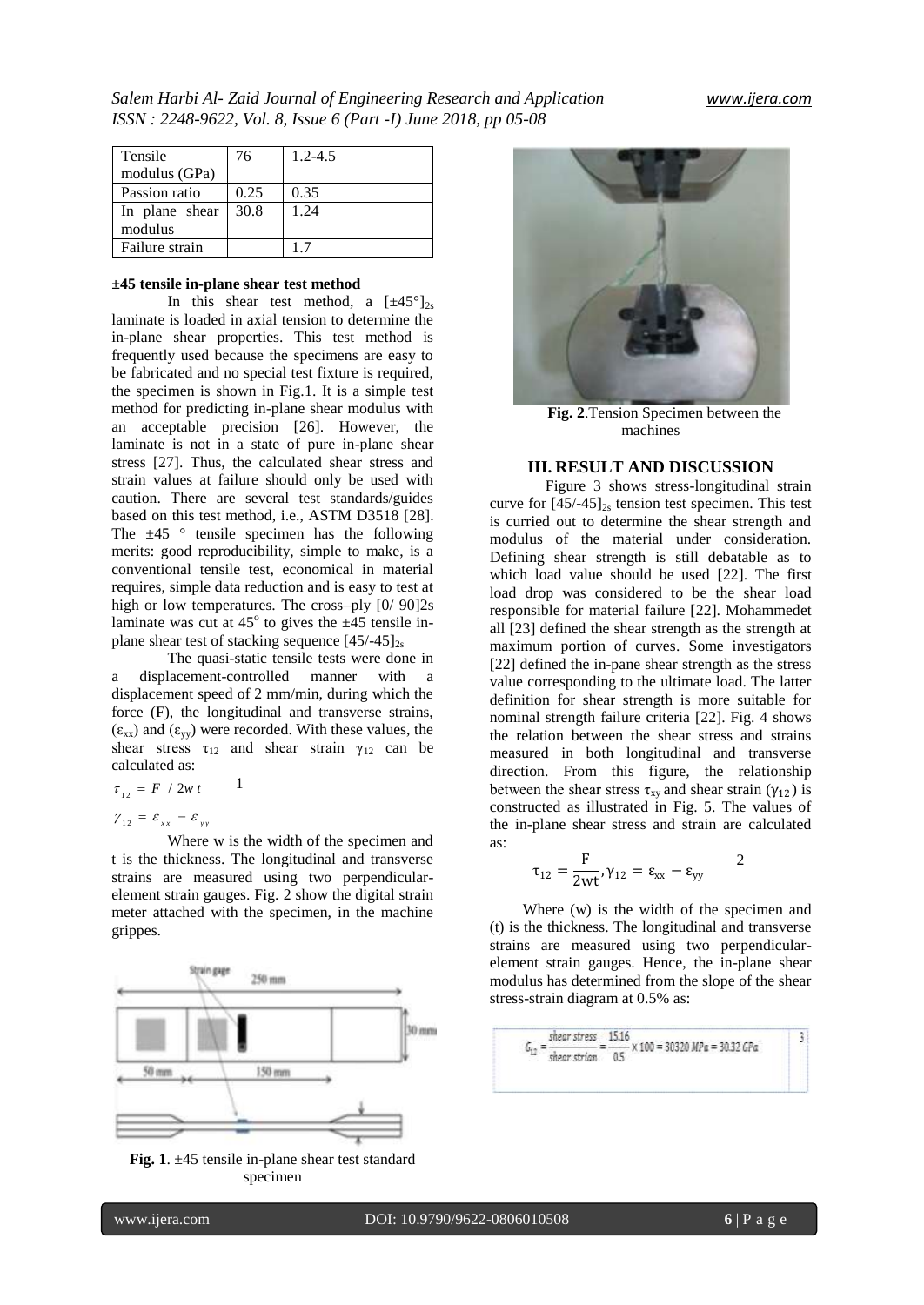| Tensile        | 76   | $1.2 - 4.5$ |
|----------------|------|-------------|
| modulus (GPa)  |      |             |
| Passion ratio  | 0.25 | 0.35        |
| In plane shear | 30.8 | 1.24        |
| modulus        |      |             |
| Failure strain |      |             |

#### **±45 tensile in-plane shear test method**

In this shear test method, a  $[\pm 45^\circ]_{2s}$ laminate is loaded in axial tension to determine the in-plane shear properties. This test method is frequently used because the specimens are easy to be fabricated and no special test fixture is required, the specimen is shown in Fig.1. It is a simple test method for predicting in-plane shear modulus with an acceptable precision [26]. However, the laminate is not in a state of pure in-plane shear stress [27]. Thus, the calculated shear stress and strain values at failure should only be used with caution. There are several test standards/guides based on this test method, i.e., ASTM D3518 [28]. The  $\pm 45$  ° tensile specimen has the following merits: good reproducibility, simple to make, is a conventional tensile test, economical in material requires, simple data reduction and is easy to test at high or low temperatures. The cross–ply  $[0/90]2s$ laminate was cut at  $45^{\circ}$  to gives the  $\pm 45$  tensile inplane shear test of stacking sequence  $[45/-45]_{2s}$ 

The quasi-static tensile tests were done in a displacement-controlled manner with a displacement speed of 2 mm/min, during which the force (F), the longitudinal and transverse strains,  $(\epsilon_{xx})$  and  $(\epsilon_{yy})$  were recorded. With these values, the shear stress  $\tau_{12}$  and shear strain  $\gamma_{12}$  can be calculated as:

1

$$
\tau_{12} = F / 2w t
$$

 $\gamma_{12} = \varepsilon_{xx} - \varepsilon_{yy}$ 

Where w is the width of the specimen and t is the thickness. The longitudinal and transverse strains are measured using two perpendicularelement strain gauges. Fig. 2 show the digital strain meter attached with the specimen, in the machine grippes.



**Fig. 1**. ±45 tensile in-plane shear test standard specimen



**Fig. 2**.Tension Specimen between the machines

#### **III. RESULT AND DISCUSSION**

Figure 3 shows stress-longitudinal strain curve for  $[45/45]_{2s}$  tension test specimen. This test is curried out to determine the shear strength and modulus of the material under consideration. Defining shear strength is still debatable as to which load value should be used [22]. The first load drop was considered to be the shear load responsible for material failure [22]. Mohammedet all [23] defined the shear strength as the strength at maximum portion of curves. Some investigators [22] defined the in-pane shear strength as the stress value corresponding to the ultimate load. The latter definition for shear strength is more suitable for nominal strength failure criteria [22]. Fig. 4 shows the relation between the shear stress and strains measured in both longitudinal and transverse direction. From this figure, the relationship between the shear stress  $\tau_{xy}$  and shear strain ( $\gamma_{12}$ ) is constructed as illustrated in Fig. 5. The values of the in-plane shear stress and strain are calculated as:

$$
\tau_{12} = \frac{\mathrm{F}}{2\mathrm{wt}}, \gamma_{12} = \epsilon_{xx} - \epsilon_{yy}
$$

Where (w) is the width of the specimen and (t) is the thickness. The longitudinal and transverse strains are measured using two perpendicularelement strain gauges. Hence, the in-plane shear modulus has determined from the slope of the shear stress-strain diagram at 0.5% as:

$$
G_{12} = \frac{\text{shear stress}}{\text{shear strain}} = \frac{15.16}{0.5} \times 100 = 30320 \text{ MPa} = 30.32 \text{ GPa}
$$

2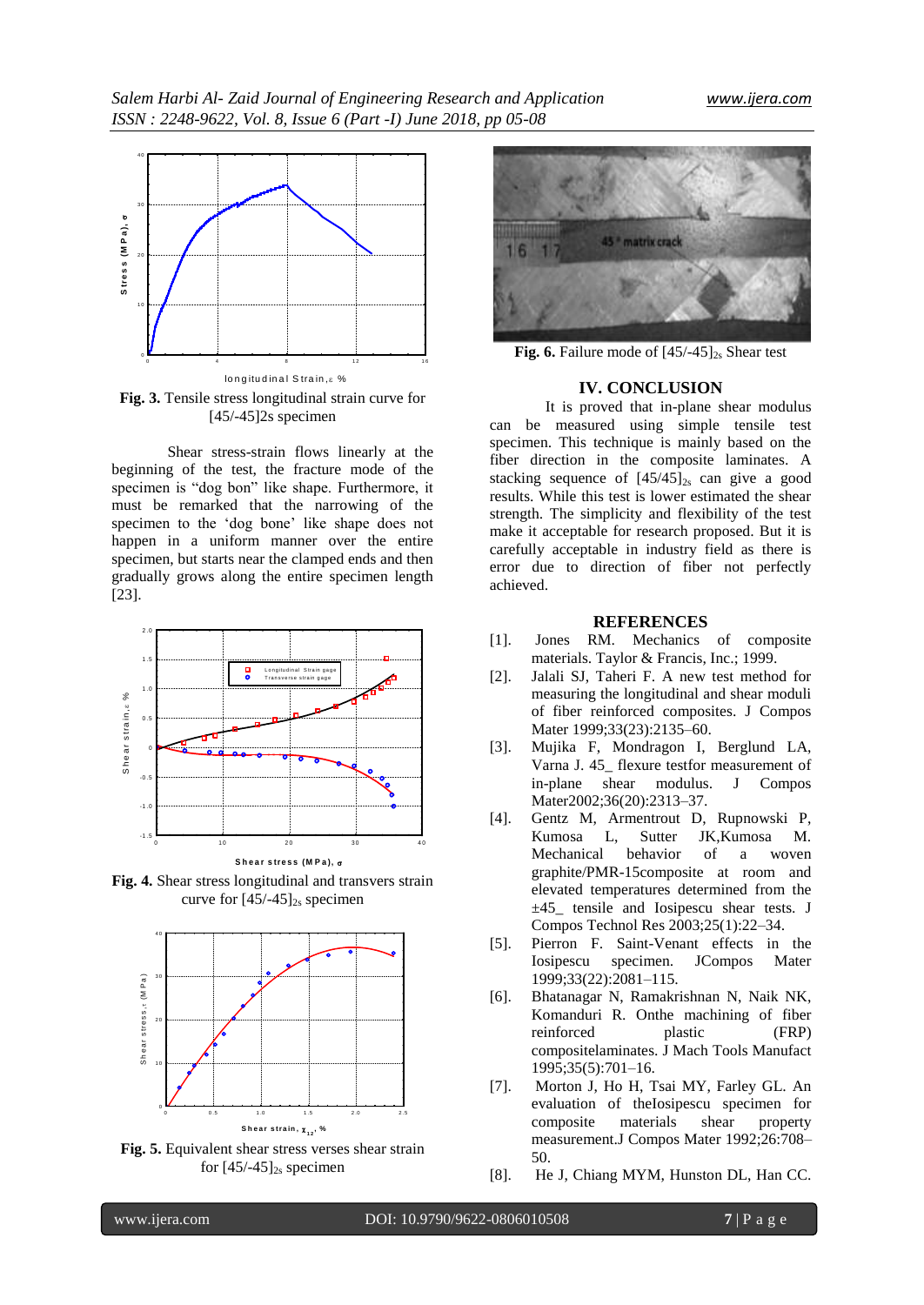

**Fig. 3.** Tensile stress longitudinal strain curve for [45/-45]<sub>2s</sub> specimen

Shear stress-strain flows linearly at the beginning of the test, the fracture mode of the specimen is "dog bon" like shape. Furthermore, it must be remarked that the narrowing of the specimen to the "dog bone" like shape does not happen in a uniform manner over the entire specimen, but starts near the clamped ends and then gradually grows along the entire specimen length [23].



**Fig. 4.** Shear stress longitudinal and transvers strain curve for  $[45/-45]_{2s}$  specimen



**Fig. 5.** Equivalent shear stress verses shear strain for  $[45/-45]_{2s}$  specimen



**Fig. 6.** Failure mode of  $[45/-45]_{2s}$  Shear test

## **IV. CONCLUSION**

It is proved that in-plane shear modulus can be measured using simple tensile test specimen. This technique is mainly based on the fiber direction in the composite laminates. A stacking sequence of  $[45/45]_{2s}$  can give a good results. While this test is lower estimated the shear strength. The simplicity and flexibility of the test make it acceptable for research proposed. But it is carefully acceptable in industry field as there is error due to direction of fiber not perfectly achieved.

#### **REFERENCES**

- [1]. Jones RM. Mechanics of composite materials. Taylor & Francis, Inc.; 1999.
- [2]. Jalali SJ, Taheri F. A new test method for measuring the longitudinal and shear moduli of fiber reinforced composites. J Compos Mater 1999;33(23):2135–60.
- [3]. Mujika F, Mondragon I, Berglund LA, Varna J. 45\_ flexure testfor measurement of in-plane shear modulus. J Compos Mater2002;36(20):2313-37.
- [4]. Gentz M, Armentrout D, Rupnowski P, Kumosa L, Sutter JK,Kumosa M. Mechanical behavior of a woven graphite/PMR-15composite at room and elevated temperatures determined from the ±45\_ tensile and Iosipescu shear tests. J Compos Technol Res 2003;25(1):22–34.
- [5]. Pierron F. Saint-Venant effects in the Iosipescu specimen. JCompos Mater 1999;33(22):2081–115.
- [6]. Bhatanagar N, Ramakrishnan N, Naik NK, Komanduri R. Onthe machining of fiber reinforced plastic (FRP) compositelaminates. J Mach Tools Manufact 1995;35(5):701–16.
- [7]. Morton J, Ho H, Tsai MY, Farley GL. An evaluation of theIosipescu specimen for composite materials shear property measurement.J Compos Mater 1992;26:708– 50.
- [8]. He J, Chiang MYM, Hunston DL, Han CC.